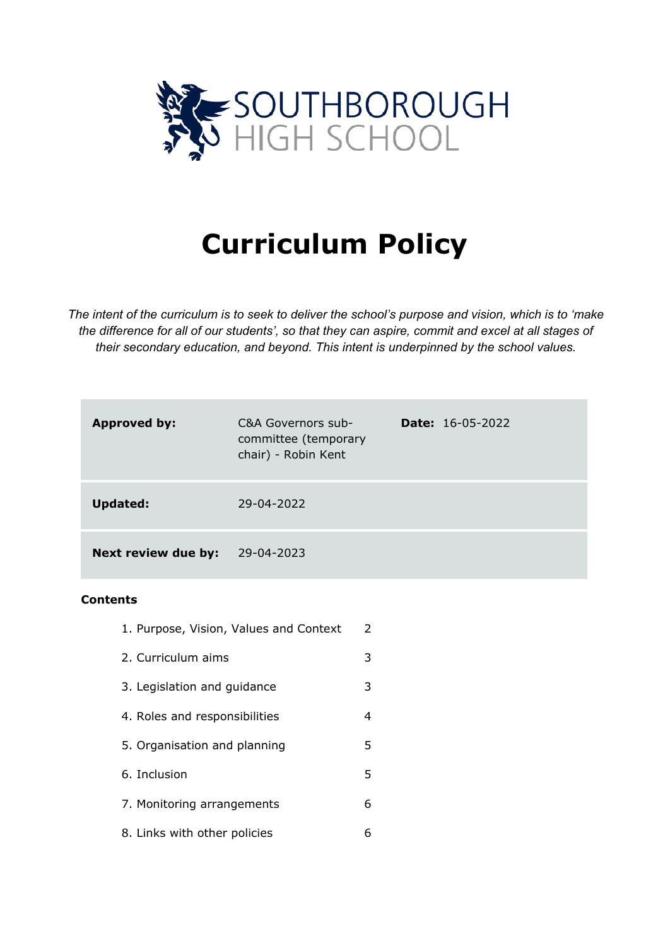

# **Curriculum Policy**

*The intent of the curriculum is to seek to deliver the school's purpose and vision, which is to 'make the difference for all of our students', so that they can aspire, commit and excel at all stages of their secondary education, and beyond. This intent is underpinned by the school values.*

| <b>Approved by:</b>        | C&A Governors sub-<br>committee (temporary<br>chair) - Robin Kent | <b>Date:</b> $16-05-2022$ |
|----------------------------|-------------------------------------------------------------------|---------------------------|
| <b>Updated:</b>            | 29-04-2022                                                        |                           |
| <b>Next review due by:</b> | 29-04-2023                                                        |                           |

### **Contents**

- 1. Purpose, Vision, Values and Context 2
- 2. Curriculum aims 3
- 3. Legislation and guidance 3
- 4. Roles and responsibilities 4
- 5. Organisation and planning 3.
- 6. Inclusion 5
- 7. Monitoring arrangements 6
- 8. Links with other policies 6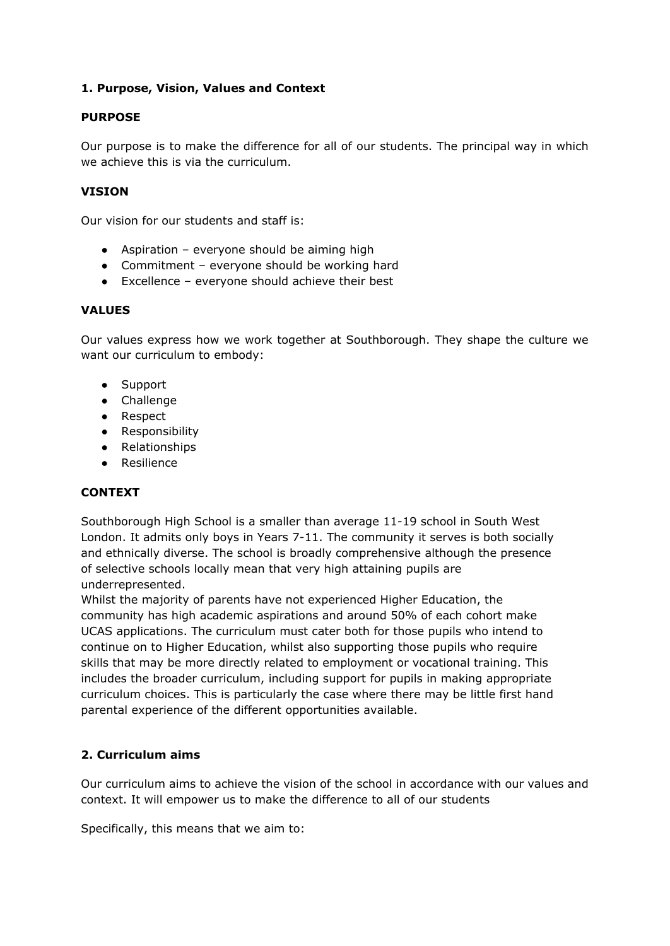## **1. Purpose, Vision, Values and Context**

### **PURPOSE**

Our purpose is to make the difference for all of our students. The principal way in which we achieve this is via the curriculum.

## **VISION**

Our vision for our students and staff is:

- $\bullet$  Aspiration everyone should be aiming high
- Commitment everyone should be working hard
- Excellence everyone should achieve their best

### **VALUES**

Our values express how we work together at Southborough. They shape the culture we want our curriculum to embody:

- Support
- Challenge
- Respect
- Responsibility
- Relationships
- Resilience

# **CONTEXT**

Southborough High School is a smaller than average 11-19 school in South West London. It admits only boys in Years 7-11. The community it serves is both socially and ethnically diverse. The school is broadly comprehensive although the presence of selective schools locally mean that very high attaining pupils are underrepresented.

Whilst the majority of parents have not experienced Higher Education, the community has high academic aspirations and around 50% of each cohort make UCAS applications. The curriculum must cater both for those pupils who intend to continue on to Higher Education, whilst also supporting those pupils who require skills that may be more directly related to employment or vocational training. This includes the broader curriculum, including support for pupils in making appropriate curriculum choices. This is particularly the case where there may be little first hand parental experience of the different opportunities available.

# **2. Curriculum aims**

Our curriculum aims to achieve the vision of the school in accordance with our values and context. It will empower us to make the difference to all of our students

Specifically, this means that we aim to: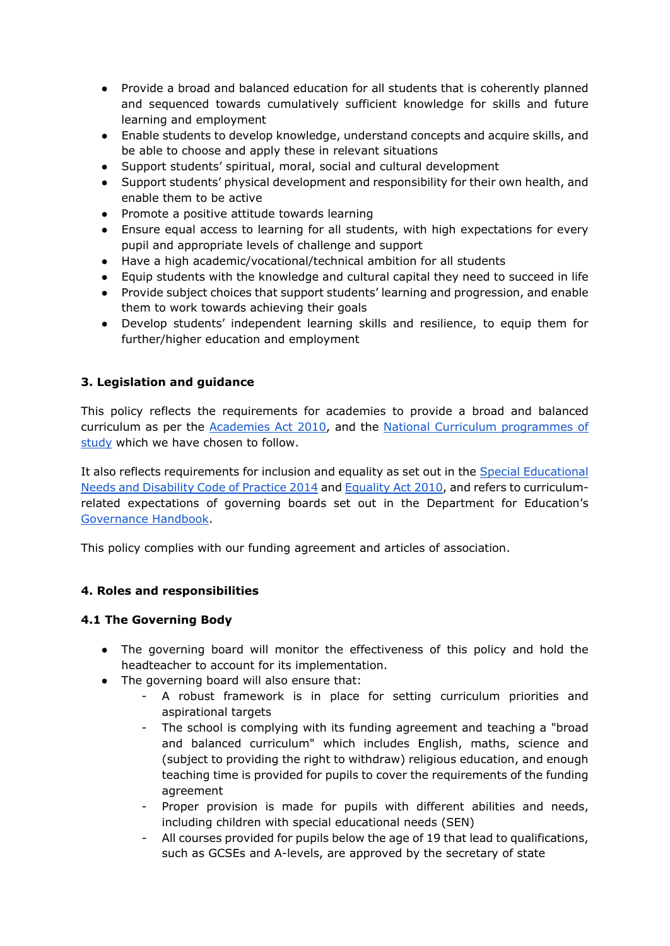- Provide a broad and balanced education for all students that is coherently planned and sequenced towards cumulatively sufficient knowledge for skills and future learning and employment
- Enable students to develop knowledge, understand concepts and acquire skills, and be able to choose and apply these in relevant situations
- Support students' spiritual, moral, social and cultural development
- Support students' physical development and responsibility for their own health, and enable them to be active
- Promote a positive attitude towards learning
- Ensure equal access to learning for all students, with high expectations for every pupil and appropriate levels of challenge and support
- Have a high academic/vocational/technical ambition for all students
- Equip students with the knowledge and cultural capital they need to succeed in life
- Provide subject choices that support students' learning and progression, and enable them to work towards achieving their goals
- Develop students' independent learning skills and resilience, to equip them for further/higher education and employment

# **3. Legislation and guidance**

This policy reflects the requirements for academies to provide a broad and balanced curriculum as per th[e](http://www.legislation.gov.uk/ukpga/2010/32/section/1A) [Academies Act 2010,](http://www.legislation.gov.uk/ukpga/2010/32/section/1A) and th[e](https://www.gov.uk/government/collections/national-curriculum) [National Curriculum programmes of](https://www.gov.uk/government/collections/national-curriculum)  [study](https://www.gov.uk/government/collections/national-curriculum) which we have chosen to follow.

It also reflects requirements for inclusion and equality as set out in the [Special Educational](https://www.gov.uk/government/publications/send-code-of-practice-0-to-25)  [Needs and Disability Code of Practice 2014](https://www.gov.uk/government/publications/send-code-of-practice-0-to-25) an[d](http://www.legislation.gov.uk/ukpga/2010/15/part/6/chapter/1) [Equality Act 2010,](http://www.legislation.gov.uk/ukpga/2010/15/part/6/chapter/1) and refers to curriculumrelated expectations of governing boards set out in the Department for Education'[s](https://www.gov.uk/government/publications/governance-handbook) [Governance Handbook.](https://www.gov.uk/government/publications/governance-handbook)

This policy complies with our funding agreement and articles of association.

# **4. Roles and responsibilities**

### **4.1 The Governing Body**

- The governing board will monitor the effectiveness of this policy and hold the headteacher to account for its implementation.
- The governing board will also ensure that:
	- A robust framework is in place for setting curriculum priorities and aspirational targets
	- The school is complying with its funding agreement and teaching a "broad and balanced curriculum" which includes English, maths, science and (subject to providing the right to withdraw) religious education, and enough teaching time is provided for pupils to cover the requirements of the funding agreement
	- Proper provision is made for pupils with different abilities and needs, including children with special educational needs (SEN)
	- All courses provided for pupils below the age of 19 that lead to qualifications, such as GCSEs and A-levels, are approved by the secretary of state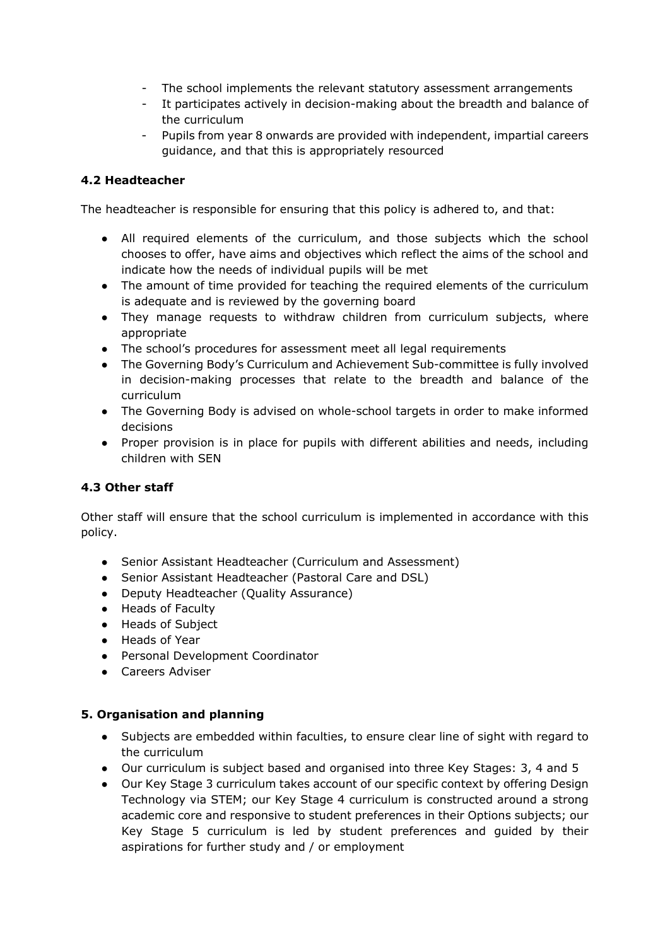- The school implements the relevant statutory assessment arrangements
- It participates actively in decision-making about the breadth and balance of the curriculum
- Pupils from year 8 onwards are provided with independent, impartial careers guidance, and that this is appropriately resourced

# **4.2 Headteacher**

The headteacher is responsible for ensuring that this policy is adhered to, and that:

- All required elements of the curriculum, and those subjects which the school chooses to offer, have aims and objectives which reflect the aims of the school and indicate how the needs of individual pupils will be met
- The amount of time provided for teaching the required elements of the curriculum is adequate and is reviewed by the governing board
- They manage requests to withdraw children from curriculum subjects, where appropriate
- The school's procedures for assessment meet all legal requirements
- The Governing Body's Curriculum and Achievement Sub-committee is fully involved in decision-making processes that relate to the breadth and balance of the curriculum
- The Governing Body is advised on whole-school targets in order to make informed decisions
- Proper provision is in place for pupils with different abilities and needs, including children with SEN

# **4.3 Other staff**

Other staff will ensure that the school curriculum is implemented in accordance with this policy.

- Senior Assistant Headteacher (Curriculum and Assessment)
- Senior Assistant Headteacher (Pastoral Care and DSL)
- Deputy Headteacher (Quality Assurance)
- Heads of Faculty
- Heads of Subject
- Heads of Year
- Personal Development Coordinator
- Careers Adviser

### **5. Organisation and planning**

- Subjects are embedded within faculties, to ensure clear line of sight with regard to the curriculum
- Our curriculum is subject based and organised into three Key Stages: 3, 4 and 5
- Our Key Stage 3 curriculum takes account of our specific context by offering Design Technology via STEM; our Key Stage 4 curriculum is constructed around a strong academic core and responsive to student preferences in their Options subjects; our Key Stage 5 curriculum is led by student preferences and guided by their aspirations for further study and / or employment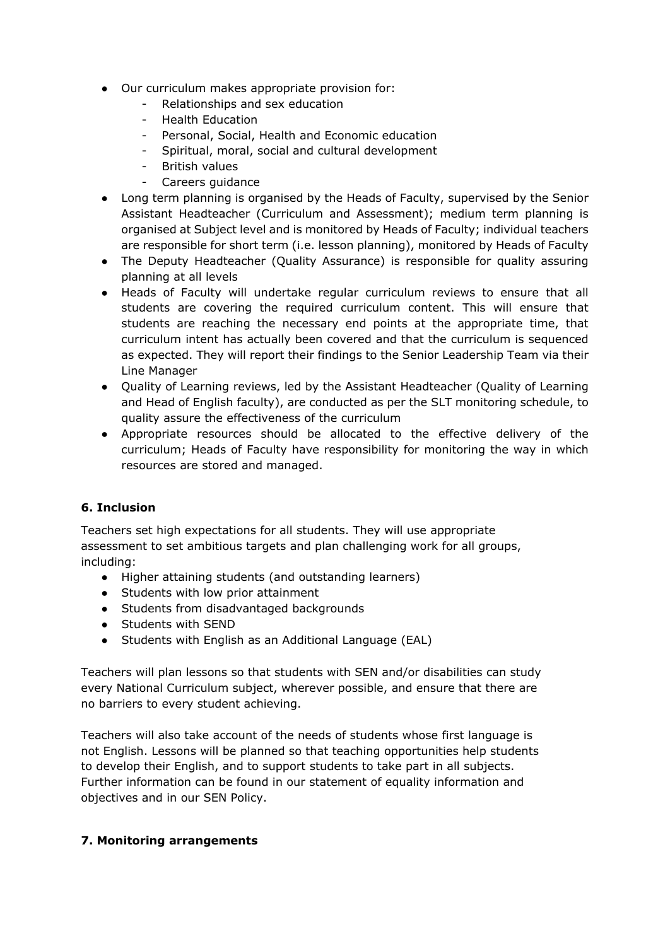- Our curriculum makes appropriate provision for:
	- Relationships and sex education
	- Health Education
	- Personal, Social, Health and Economic education
	- Spiritual, moral, social and cultural development
	- British values
	- Careers guidance
- Long term planning is organised by the Heads of Faculty, supervised by the Senior Assistant Headteacher (Curriculum and Assessment); medium term planning is organised at Subject level and is monitored by Heads of Faculty; individual teachers are responsible for short term (i.e. lesson planning), monitored by Heads of Faculty
- The Deputy Headteacher (Quality Assurance) is responsible for quality assuring planning at all levels
- Heads of Faculty will undertake regular curriculum reviews to ensure that all students are covering the required curriculum content. This will ensure that students are reaching the necessary end points at the appropriate time, that curriculum intent has actually been covered and that the curriculum is sequenced as expected. They will report their findings to the Senior Leadership Team via their Line Manager
- Quality of Learning reviews, led by the Assistant Headteacher (Quality of Learning and Head of English faculty), are conducted as per the SLT monitoring schedule, to quality assure the effectiveness of the curriculum
- Appropriate resources should be allocated to the effective delivery of the curriculum; Heads of Faculty have responsibility for monitoring the way in which resources are stored and managed.

### **6. Inclusion**

Teachers set high expectations for all students. They will use appropriate assessment to set ambitious targets and plan challenging work for all groups, including:

- Higher attaining students (and outstanding learners)
- Students with low prior attainment
- Students from disadvantaged backgrounds
- Students with SEND
- Students with English as an Additional Language (EAL)

Teachers will plan lessons so that students with SEN and/or disabilities can study every National Curriculum subject, wherever possible, and ensure that there are no barriers to every student achieving.

Teachers will also take account of the needs of students whose first language is not English. Lessons will be planned so that teaching opportunities help students to develop their English, and to support students to take part in all subjects. Further information can be found in our statement of equality information and objectives and in our SEN Policy.

### **7. Monitoring arrangements**